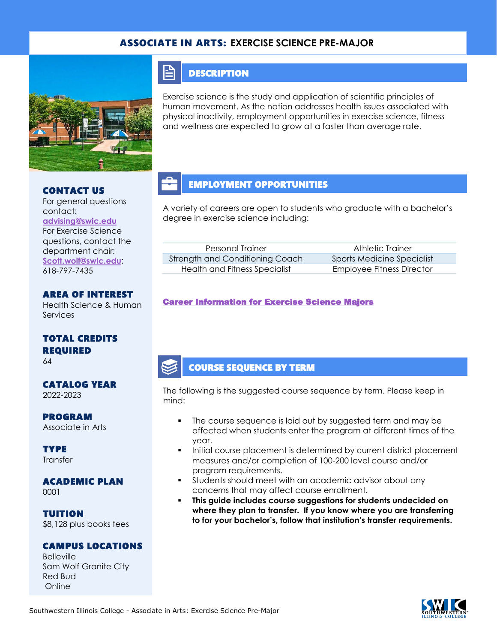### ASSOCIATE IN ARTS: **EXERCISE SCIENCE PRE-MAJOR**



### **DESCRIPTION**

E

Exercise science is the study and application of scientific principles of human movement. As the nation addresses health issues associated with physical inactivity, employment opportunities in exercise science, fitness and wellness are expected to grow at a faster than average rate.

### CONTACT US

For general questions contact: **[advising@swic.edu](mailto:advising@swic.edu)** For Exercise Science questions, contact the department chair: **[Scott.wolf@swic.edu](mailto:Scott.wolf@swic.edu)**; 618-797-7435

## AREA OF INTEREST

Health Science & Human **Services** 

## TOTAL CREDITS REQUIRED

64

#### CATALOG YEAR 2022-2023

PROGRAM

Associate in Arts

**TYPE Transfer** 

## ACADEMIC PLAN

0001

TUITION \$8,128 plus books fees

#### CAMPUS LOCATIONS

Belleville Sam Wolf Granite City Red Bud Online

## EMPLOYMENT OPPORTUNITIES

A variety of careers are open to students who graduate with a bachelor's degree in exercise science including:

| Personal Trainer                | Athletic Trainer                  |
|---------------------------------|-----------------------------------|
| Strength and Conditioning Coach | <b>Sports Medicine Specialist</b> |
| Health and Fitness Specialist   | Employee Fitness Director         |

#### [Career Information for Exercise Science Majors](https://www.onetonline.org/find/quick?s=exercisce+science)

### COURSE SEQUENCE BY TERM

The following is the suggested course sequence by term. Please keep in mind:

- The course sequence is laid out by suggested term and may be affected when students enter the program at different times of the year.
- Initial course placement is determined by current district placement measures and/or completion of 100-200 level course and/or program requirements.
- Students should meet with an academic advisor about any concerns that may affect course enrollment.
- This guide includes course suggestions for students undecided on **where they plan to transfer. If you know where you are transferring to for your bachelor's, follow that institution's transfer requirements.**